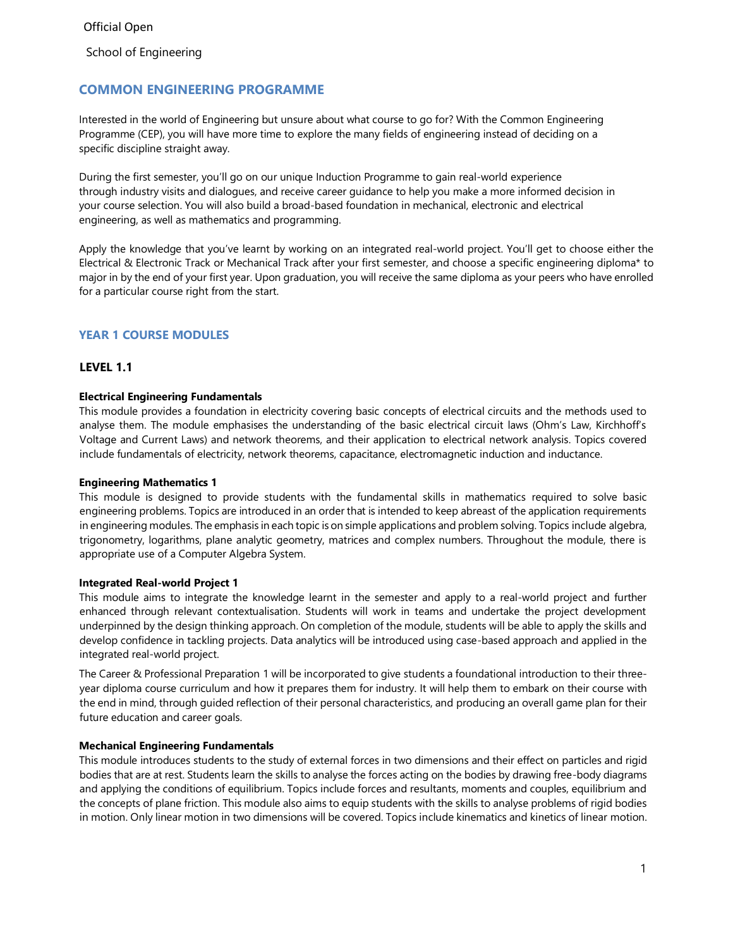School of Engineering

# **COMMON ENGINEERING PROGRAMME**

Interested in the world of Engineering but unsure about what course to go for? With the Common Engineering Programme (CEP), you will have more time to explore the many fields of engineering instead of deciding on a specific discipline straight away.

During the first semester, you'll go on our unique Induction Programme to gain real-world experience through industry visits and dialogues, and receive career guidance to help you make a more informed decision in your course selection. You will also build a broad-based foundation in mechanical, electronic and electrical engineering, as well as mathematics and programming.

Apply the knowledge that you've learnt by working on an integrated real-world project. You'll get to choose either the Electrical & Electronic Track or Mechanical Track after your first semester, and choose a specific engineering diploma\* to major in by the end of your first year. Upon graduation, you will receive the same diploma as your peers who have enrolled for a particular course right from the start.

# **YEAR 1 COURSE MODULES**

# **LEVEL 1.1**

#### **Electrical Engineering Fundamentals**

This module provides a foundation in electricity covering basic concepts of electrical circuits and the methods used to analyse them. The module emphasises the understanding of the basic electrical circuit laws (Ohm's Law, Kirchhoff's Voltage and Current Laws) and network theorems, and their application to electrical network analysis. Topics covered include fundamentals of electricity, network theorems, capacitance, electromagnetic induction and inductance.

#### **Engineering Mathematics 1**

This module is designed to provide students with the fundamental skills in mathematics required to solve basic engineering problems. Topics are introduced in an order that is intended to keep abreast of the application requirements in engineering modules. The emphasis in each topic is on simple applications and problem solving. Topics include algebra, trigonometry, logarithms, plane analytic geometry, matrices and complex numbers. Throughout the module, there is appropriate use of a Computer Algebra System.

#### **Integrated Real-world Project 1**

This module aims to integrate the knowledge learnt in the semester and apply to a real-world project and further enhanced through relevant contextualisation. Students will work in teams and undertake the project development underpinned by the design thinking approach. On completion of the module, students will be able to apply the skills and develop confidence in tackling projects. Data analytics will be introduced using case-based approach and applied in the integrated real-world project.

The Career & Professional Preparation 1 will be incorporated to give students a foundational introduction to their threeyear diploma course curriculum and how it prepares them for industry. It will help them to embark on their course with the end in mind, through guided reflection of their personal characteristics, and producing an overall game plan for their future education and career goals.

#### **Mechanical Engineering Fundamentals**

This module introduces students to the study of external forces in two dimensions and their effect on particles and rigid bodies that are at rest. Students learn the skills to analyse the forces acting on the bodies by drawing free-body diagrams and applying the conditions of equilibrium. Topics include forces and resultants, moments and couples, equilibrium and the concepts of plane friction. This module also aims to equip students with the skills to analyse problems of rigid bodies in motion. Only linear motion in two dimensions will be covered. Topics include kinematics and kinetics of linear motion.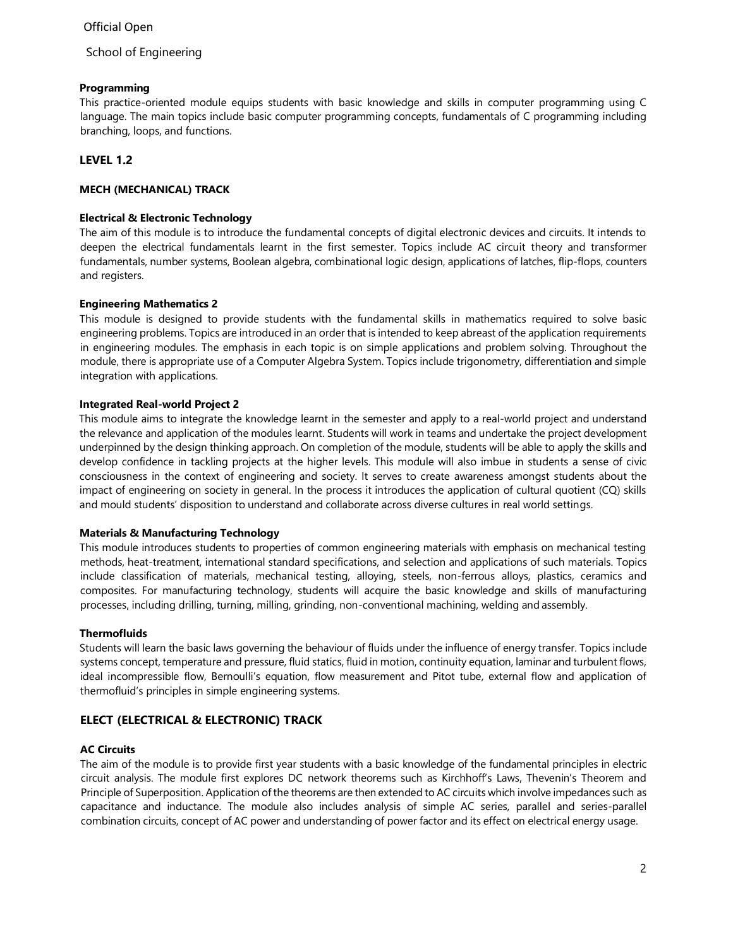# Official Open

School of Engineering

### **Programming**

This practice-oriented module equips students with basic knowledge and skills in computer programming using C language. The main topics include basic computer programming concepts, fundamentals of C programming including branching, loops, and functions.

# **LEVEL 1.2**

# **MECH (MECHANICAL) TRACK**

# <span id="page-1-0"></span>**Electrical & Electronic Technology**

The aim of this module is to introduce the fundamental concepts of digital electronic devices and circuits. It intends to deepen the electrical fundamentals learnt in the first semester. Topics include AC circuit theory and transformer fundamentals, number systems, Boolean algebra, combinational logic design, applications of latches, flip-flops, counters and registers.

# <span id="page-1-1"></span>**Engineering Mathematics 2**

This module is designed to provide students with the fundamental skills in mathematics required to solve basic engineering problems. Topics are introduced in an order that is intended to keep abreast of the application requirements in engineering modules. The emphasis in each topic is on simple applications and problem solving. Throughout the module, there is appropriate use of a Computer Algebra System. Topics include trigonometry, differentiation and simple integration with applications.

# <span id="page-1-2"></span>**Integrated Real-world Project 2**

This module aims to integrate the knowledge learnt in the semester and apply to a real-world project and understand the relevance and application of the modules learnt. Students will work in teams and undertake the project development underpinned by the design thinking approach. On completion of the module, students will be able to apply the skills and develop confidence in tackling projects at the higher levels. This module will also imbue in students a sense of civic consciousness in the context of engineering and society. It serves to create awareness amongst students about the impact of engineering on society in general. In the process it introduces the application of cultural quotient (CQ) skills and mould students' disposition to understand and collaborate across diverse cultures in real world settings.

# **Materials & Manufacturing Technology**

This module introduces students to properties of common engineering materials with emphasis on mechanical testing methods, heat-treatment, international standard specifications, and selection and applications of such materials. Topics include classification of materials, mechanical testing, alloying, steels, non-ferrous alloys, plastics, ceramics and composites. For manufacturing technology, students will acquire the basic knowledge and skills of manufacturing processes, including drilling, turning, milling, grinding, non-conventional machining, welding and assembly.

#### **Thermofluids**

Students will learn the basic laws governing the behaviour of fluids under the influence of energy transfer. Topics include systems concept, temperature and pressure, fluid statics, fluid in motion, continuity equation, laminar and turbulent flows, ideal incompressible flow, Bernoulli's equation, flow measurement and Pitot tube, external flow and application of thermofluid's principles in simple engineering systems.

# **ELECT (ELECTRICAL & ELECTRONIC) TRACK**

#### **AC Circuits**

The aim of the module is to provide first year students with a basic knowledge of the fundamental principles in electric circuit analysis. The module first explores DC network theorems such as Kirchhoff's Laws, Thevenin's Theorem and Principle of Superposition. Application ofthe theorems are then extended to AC circuits which involve impedances such as capacitance and inductance. The module also includes analysis of simple AC series, parallel and series-parallel combination circuits, concept of AC power and understanding of power factor and its effect on electrical energy usage.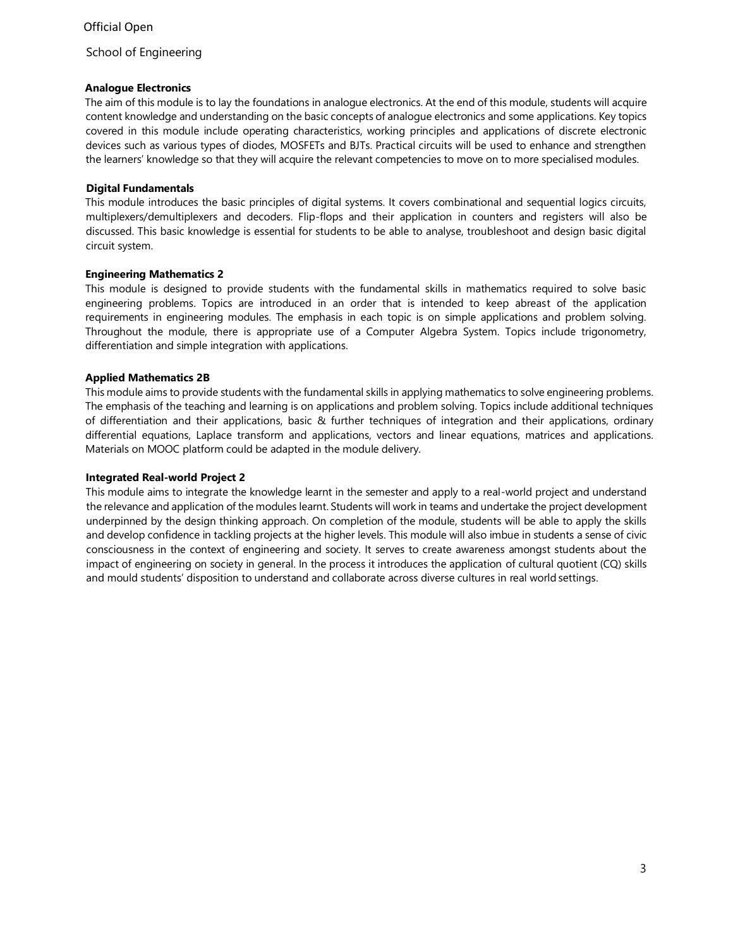# Official Open

School of Engineering

# **Analogue Electronics**

The aim of this module is to lay the foundations in analogue electronics. At the end of this module, students will acquire content knowledge and understanding on the basic concepts of analogue electronics and some applications. Key topics covered in this module include operating characteristics, working principles and applications of discrete electronic devices such as various types of diodes, MOSFETs and BJTs. Practical circuits will be used to enhance and strengthen the learners' knowledge so that they will acquire the relevant competencies to move on to more specialised modules.

# **Digital Fundamentals**

This module introduces the basic principles of digital systems. It covers combinational and sequential logics circuits, multiplexers/demultiplexers and decoders. Flip-flops and their application in counters and registers will also be discussed. This basic knowledge is essential for students to be able to analyse, troubleshoot and design basic digital circuit system.

# **[Engineering Mathematics 2](#page-1-0)**

[This module is designed to provide students with the fundamental skills in mathematics required to solve basic](#page-1-1) [engineering problems. Topics are introduced in an order that is intended to keep abreast of the application](#page-1-1) [requirements in engineering modules. The emphasis in each topic is on simple applications and problem solving.](#page-1-1) [Throughout the module, there is appropriate use of a Computer Algebra System. Topics include trigonometry,](#page-1-1) [differentiation and simple integration with applications.](#page-1-1)

# **[Applied Mathematics 2B](#page-1-0)**

This module aims to provide students with the fundamental skills in applying mathematics to solve engineering problems. The emphasis of the teaching and learning is on applications and problem solving. Topics include additional techniques of differentiation and their applications, basic & further techniques of integration and their applications, ordinary differential equations, Laplace transform and applications, vectors and linear equations, matrices and applications. Materials on MOOC platform could be adapted in the module delivery.

### **[Integrated Real-world Project 2](#page-1-2)**

This module aims to integrate the knowledge learnt in the semester and apply to a real-world project and understand the relevance and application of the modules learnt. Students will work in teams and undertake the project development underpinned by the design thinking approach. On completion of the module, students will be able to apply the skills and develop confidence in tackling projects at the higher levels. This module will also imbue in students a sense of civic consciousness in the context of engineering and society. It serves to create awareness amongst students about the impact of engineering on society in general. In the process it introduces the application of cultural quotient (CQ) skills and mould students' disposition to understand and collaborate across diverse cultures in real world settings.